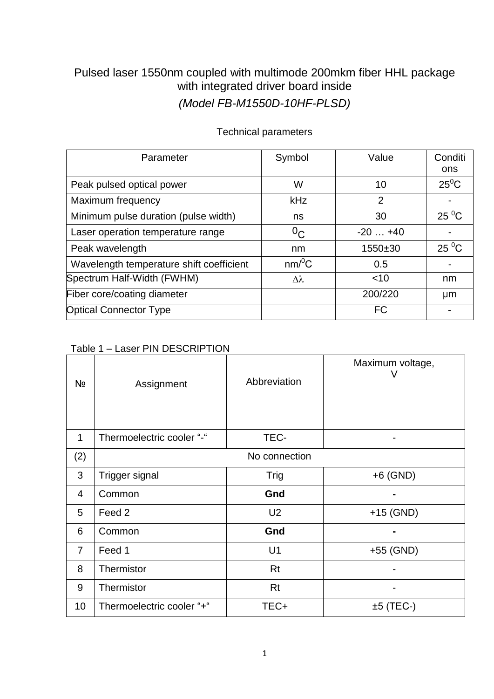# Pulsed laser 1550nm coupled with multimode 200mkm fiber HHL package with integrated driver board inside *(Model FB-M1550D-10HF-PLSD)*

| Parameter                                | Symbol     | Value          | Conditi<br>ons |
|------------------------------------------|------------|----------------|----------------|
| Peak pulsed optical power                | W          | 10             | $25^0C$        |
| Maximum frequency                        | kHz        | $\overline{2}$ | $\blacksquare$ |
| Minimum pulse duration (pulse width)     | ns         | 30             | $25^{\circ}$ C |
| Laser operation temperature range        | $0_{C}$    | $-20+40$       | $\blacksquare$ |
| Peak wavelength                          | nm         | 1550±30        | $25\,^0$ C     |
| Wavelength temperature shift coefficient | $nm/{}^0C$ | 0.5            |                |
| Spectrum Half-Width (FWHM)               | Δλ         | $<$ 10         | nm             |
| Fiber core/coating diameter              |            | 200/220        | μm             |
| <b>Optical Connector Type</b>            |            | <b>FC</b>      |                |

### Technical parameters

### Table 1 – Laser PIN DESCRIPTION

| Nº             | Assignment                | Abbreviation   | Maximum voltage,<br>V |
|----------------|---------------------------|----------------|-----------------------|
| 1              | Thermoelectric cooler "-" | TEC-           |                       |
| (2)            |                           | No connection  |                       |
| 3              | Trigger signal            | <b>Trig</b>    | $+6$ (GND)            |
| 4              | Common                    | Gnd            |                       |
| 5              | Feed 2                    | U <sub>2</sub> | $+15$ (GND)           |
| 6              | Common                    | Gnd            |                       |
| $\overline{7}$ | Feed 1                    | U <sub>1</sub> | +55 (GND)             |
| 8              | Thermistor                | Rt             |                       |
| 9              | Thermistor                | Rt             |                       |
| 10             | Thermoelectric cooler "+" | TEC+           | $±5$ (TEC-)           |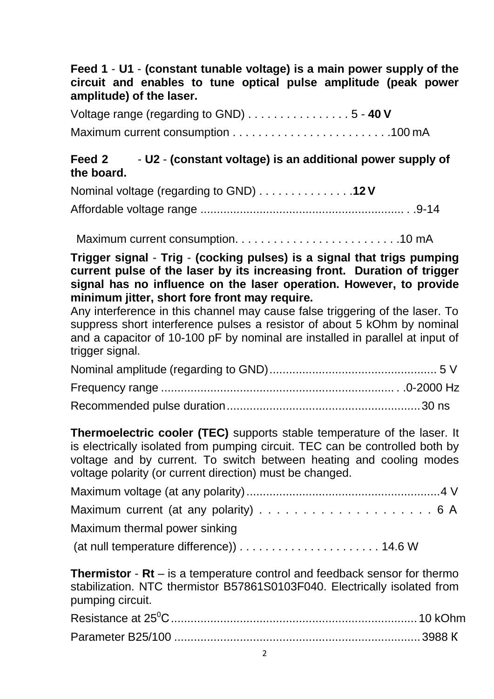**Feed 1** - **U1** - **(constant tunable voltage) is a main power supply of the circuit and enables to tune optical pulse amplitude (peak power amplitude) of the laser.** 

| Voltage range (regarding to GND) $\dots \dots \dots \dots \dots 5 - 40$ V |  |
|---------------------------------------------------------------------------|--|
|                                                                           |  |

## **Feed 2** - **U2** - **(constant voltage) is an additional power supply of the board.**

| Nominal voltage (regarding to GND) 12 V |  |
|-----------------------------------------|--|
|                                         |  |

Maximum current consumption. . . . . . . . . . . . . . . . . . . . . . . . . .10 mA

**Trigger signal** - **Trig** - **(cocking pulses) is a signal that trigs pumping current pulse of the laser by its increasing front. Duration of trigger signal has no influence on the laser operation. However, to provide minimum jitter, short fore front may require.** 

Any interference in this channel may cause false triggering of the laser. To suppress short interference pulses a resistor of about 5 kOhm by nominal and a capacitor of 10-100 pF by nominal are installed in parallel at input of trigger signal.

**Thermoelectric cooler (TEC)** supports stable temperature of the laser. It is electrically isolated from pumping circuit. TEC can be controlled both by voltage and by current. To switch between heating and cooling modes voltage polarity (or current direction) must be changed.

| Maximum current (at any polarity) $\ldots \ldots \ldots \ldots \ldots \ldots \ldots \ldots$ |  |
|---------------------------------------------------------------------------------------------|--|
| Maximum thermal power sinking                                                               |  |
|                                                                                             |  |

**Thermistor** - **Rt** – is a temperature control and feedback sensor for thermo stabilization. NTC thermistor B57861S0103F040. Electrically isolated from pumping circuit.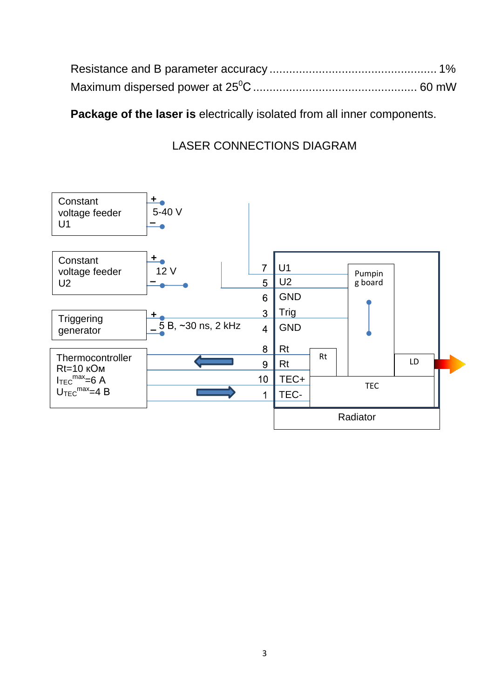**Package of the laser is** electrically isolated from all inner components.

LASER CONNECTIONS DIAGRAM